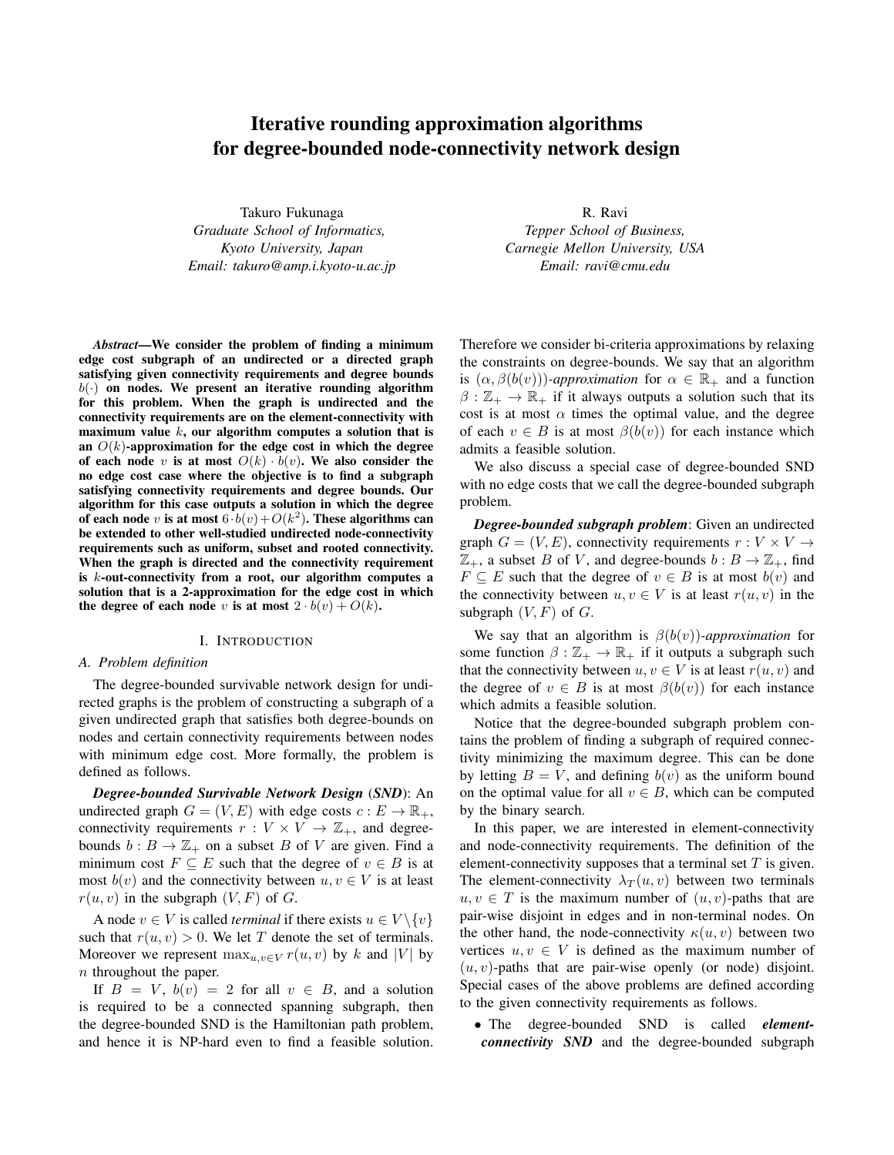# Iterative rounding approximation algorithms for degree-bounded node-connectivity network design

Takuro Fukunaga *Graduate School of Informatics, Kyoto University, Japan Email: takuro@amp.i.kyoto-u.ac.jp*

R. Ravi *Tepper School of Business, Carnegie Mellon University, USA Email: ravi@cmu.edu*

*Abstract*—We consider the problem of finding a minimum edge cost subgraph of an undirected or a directed graph satisfying given connectivity requirements and degree bounds  $b(\cdot)$  on nodes. We present an iterative rounding algorithm for this problem. When the graph is undirected and the connectivity requirements are on the element-connectivity with maximum value *k*, our algorithm computes a solution that is an  $O(k)$ -approximation for the edge cost in which the degree of each node *v* is at most  $O(k) \cdot b(v)$ . We also consider the no edge cost case where the objective is to find a subgraph satisfying connectivity requirements and degree bounds. Our algorithm for this case outputs a solution in which the degree of each node *v* is at most  $6·b(v) + O(k^2)$ . These algorithms can be extended to other well-studied undirected node-connectivity requirements such as uniform, subset and rooted connectivity. When the graph is directed and the connectivity requirement is *k*-out-connectivity from a root, our algorithm computes a solution that is a 2-approximation for the edge cost in which the degree of each node *v* is at most  $2 \cdot b(v) + O(k)$ .

#### I. INTRODUCTION

#### *A. Problem definition*

The degree-bounded survivable network design for undirected graphs is the problem of constructing a subgraph of a given undirected graph that satisfies both degree-bounds on nodes and certain connectivity requirements between nodes with minimum edge cost. More formally, the problem is defined as follows.

*Degree-bounded Survivable Network Design* (*SND*): An undirected graph  $G = (V, E)$  with edge costs  $c : E \to \mathbb{R}_+$ , connectivity requirements  $r: V \times V \rightarrow \mathbb{Z}_+$ , and degreebounds  $b : B \to \mathbb{Z}_+$  on a subset *B* of *V* are given. Find a minimum cost  $F \subseteq E$  such that the degree of  $v \in B$  is at most  $b(v)$  and the connectivity between  $u, v \in V$  is at least  $r(u, v)$  in the subgraph  $(V, F)$  of *G*.

A node  $v \in V$  is called *terminal* if there exists  $u \in V \setminus \{v\}$ such that  $r(u, v) > 0$ . We let *T* denote the set of terminals. Moreover we represent  $\max_{u,v \in V} r(u,v)$  by *k* and  $|V|$  by *n* throughout the paper.

If  $B = V$ ,  $b(v) = 2$  for all  $v \in B$ , and a solution is required to be a connected spanning subgraph, then the degree-bounded SND is the Hamiltonian path problem, and hence it is NP-hard even to find a feasible solution. Therefore we consider bi-criteria approximations by relaxing the constraints on degree-bounds. We say that an algorithm is  $(\alpha, \beta(b(v)))$ *-approximation* for  $\alpha \in \mathbb{R}_+$  and a function  $\beta : \mathbb{Z}_+ \to \mathbb{R}_+$  if it always outputs a solution such that its cost is at most  $\alpha$  times the optimal value, and the degree of each  $v \in B$  is at most  $\beta(b(v))$  for each instance which admits a feasible solution.

We also discuss a special case of degree-bounded SND with no edge costs that we call the degree-bounded subgraph problem.

*Degree-bounded subgraph problem*: Given an undirected graph  $G = (V, E)$ , connectivity requirements  $r : V \times V \rightarrow$  $\mathbb{Z}_+$ , a subset *B* of *V*, and degree-bounds  $b : B \to \mathbb{Z}_+$ , find *F*  $\subseteq$  *E* such that the degree of  $v \in B$  is at most  $b(v)$  and the connectivity between  $u, v \in V$  is at least  $r(u, v)$  in the subgraph  $(V, F)$  of  $G$ .

We say that an algorithm is *β*(*b*(*v*))*-approximation* for some function  $\beta : \mathbb{Z}_+ \to \mathbb{R}_+$  if it outputs a subgraph such that the connectivity between  $u, v \in V$  is at least  $r(u, v)$  and the degree of  $v \in B$  is at most  $\beta(b(v))$  for each instance which admits a feasible solution.

Notice that the degree-bounded subgraph problem contains the problem of finding a subgraph of required connectivity minimizing the maximum degree. This can be done by letting  $B = V$ , and defining  $b(v)$  as the uniform bound on the optimal value for all  $v \in B$ , which can be computed by the binary search.

In this paper, we are interested in element-connectivity and node-connectivity requirements. The definition of the element-connectivity supposes that a terminal set *T* is given. The element-connectivity  $\lambda_T(u, v)$  between two terminals  $u, v \in T$  is the maximum number of  $(u, v)$ -paths that are pair-wise disjoint in edges and in non-terminal nodes. On the other hand, the node-connectivity  $\kappa(u, v)$  between two vertices  $u, v \in V$  is defined as the maximum number of (*u, v*)-paths that are pair-wise openly (or node) disjoint. Special cases of the above problems are defined according to the given connectivity requirements as follows.

*•* The degree-bounded SND is called *elementconnectivity SND* and the degree-bounded subgraph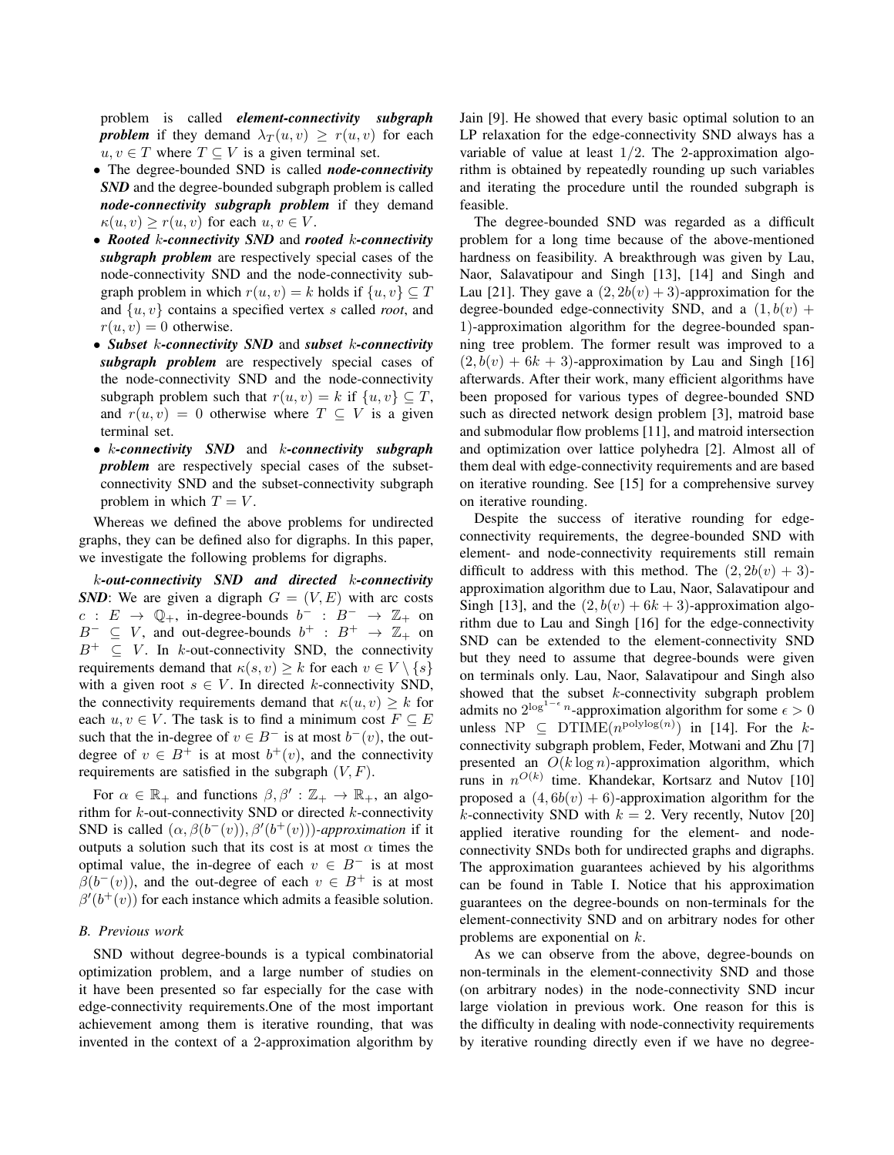problem is called *element-connectivity subgraph problem* if they demand  $\lambda_T(u, v) \geq r(u, v)$  for each  $u, v \in T$  where  $T \subseteq V$  is a given terminal set.

- *•* The degree-bounded SND is called *node-connectivity SND* and the degree-bounded subgraph problem is called *node-connectivity subgraph problem* if they demand  $\kappa(u, v) \geq r(u, v)$  for each  $u, v \in V$ .
- *• Rooted k-connectivity SND* and *rooted k-connectivity subgraph problem* are respectively special cases of the node-connectivity SND and the node-connectivity subgraph problem in which  $r(u, v) = k$  holds if  $\{u, v\} \subset T$ and *{u, v}* contains a specified vertex *s* called *root*, and  $r(u, v) = 0$  otherwise.
- *• Subset k-connectivity SND* and *subset k-connectivity subgraph problem* are respectively special cases of the node-connectivity SND and the node-connectivity subgraph problem such that  $r(u, v) = k$  if  $\{u, v\} \subset T$ , and  $r(u, v) = 0$  otherwise where  $T \subseteq V$  is a given terminal set.
- *• k-connectivity SND* and *k-connectivity subgraph problem* are respectively special cases of the subsetconnectivity SND and the subset-connectivity subgraph problem in which  $T = V$ .

Whereas we defined the above problems for undirected graphs, they can be defined also for digraphs. In this paper, we investigate the following problems for digraphs.

*k-out-connectivity SND and directed k-connectivity SND*: We are given a digraph  $G = (V, E)$  with arc costs  $c: E \rightarrow \mathbb{Q}_+$ , in-degree-bounds  $b^- : B^- \rightarrow \mathbb{Z}_+$  on  $B^- \subseteq V$ , and out-degree-bounds  $b^+ : B^+ \rightarrow \mathbb{Z}_+$  on *B*<sup>+</sup> *⊆ V* . In *k*-out-connectivity SND, the connectivity requirements demand that  $\kappa(s, v) \geq k$  for each  $v \in V \setminus \{s\}$ with a given root  $s \in V$ . In directed *k*-connectivity SND, the connectivity requirements demand that  $\kappa(u, v) \geq k$  for each  $u, v \in V$ . The task is to find a minimum cost  $F \subseteq E$ such that the in-degree of  $v \in B^-$  is at most  $b^-(v)$ , the outdegree of  $v \in B^+$  is at most  $b^+(v)$ , and the connectivity requirements are satisfied in the subgraph  $(V, F)$ .

For  $\alpha \in \mathbb{R}_+$  and functions  $\beta, \beta': \mathbb{Z}_+ \to \mathbb{R}_+$ , an algorithm for *k*-out-connectivity SND or directed *k*-connectivity SND is called  $(\alpha, \beta(b^-(v)), \beta'(b^+(v)))$ *-approximation* if it outputs a solution such that its cost is at most  $\alpha$  times the optimal value, the in-degree of each  $v \in B^-$  is at most  $\beta(b^-(v))$ , and the out-degree of each  $v \in B^+$  is at most  $\beta'(b^+(v))$  for each instance which admits a feasible solution.

### *B. Previous work*

SND without degree-bounds is a typical combinatorial optimization problem, and a large number of studies on it have been presented so far especially for the case with edge-connectivity requirements.One of the most important achievement among them is iterative rounding, that was invented in the context of a 2-approximation algorithm by Jain [9]. He showed that every basic optimal solution to an LP relaxation for the edge-connectivity SND always has a variable of value at least 1*/*2. The 2-approximation algorithm is obtained by repeatedly rounding up such variables and iterating the procedure until the rounded subgraph is feasible.

The degree-bounded SND was regarded as a difficult problem for a long time because of the above-mentioned hardness on feasibility. A breakthrough was given by Lau, Naor, Salavatipour and Singh [13], [14] and Singh and Lau [21]. They gave a  $(2, 2b(v) + 3)$ -approximation for the degree-bounded edge-connectivity SND, and a  $(1, b(v) +$ 1)-approximation algorithm for the degree-bounded spanning tree problem. The former result was improved to a  $(2, b(v) + 6k + 3)$ -approximation by Lau and Singh [16] afterwards. After their work, many efficient algorithms have been proposed for various types of degree-bounded SND such as directed network design problem [3], matroid base and submodular flow problems [11], and matroid intersection and optimization over lattice polyhedra [2]. Almost all of them deal with edge-connectivity requirements and are based on iterative rounding. See [15] for a comprehensive survey on iterative rounding.

Despite the success of iterative rounding for edgeconnectivity requirements, the degree-bounded SND with element- and node-connectivity requirements still remain difficult to address with this method. The  $(2, 2b(v) + 3)$ approximation algorithm due to Lau, Naor, Salavatipour and Singh [13], and the  $(2, b(v) + 6k + 3)$ -approximation algorithm due to Lau and Singh [16] for the edge-connectivity SND can be extended to the element-connectivity SND but they need to assume that degree-bounds were given on terminals only. Lau, Naor, Salavatipour and Singh also showed that the subset *k*-connectivity subgraph problem admits no  $2^{\log^{1-\epsilon} n}$ -approximation algorithm for some  $\epsilon > 0$ unless NP  $\subseteq$  DTIME( $n^{\text{polylog}(n)}$ ) in [14]. For the *k*connectivity subgraph problem, Feder, Motwani and Zhu [7] presented an  $O(k \log n)$ -approximation algorithm, which runs in  $n^{O(k)}$  time. Khandekar, Kortsarz and Nutov [10] proposed a  $(4, 6b(v) + 6)$ -approximation algorithm for the *k*-connectivity SND with  $k = 2$ . Very recently, Nutov [20] applied iterative rounding for the element- and nodeconnectivity SNDs both for undirected graphs and digraphs. The approximation guarantees achieved by his algorithms can be found in Table I. Notice that his approximation guarantees on the degree-bounds on non-terminals for the element-connectivity SND and on arbitrary nodes for other problems are exponential on *k*.

As we can observe from the above, degree-bounds on non-terminals in the element-connectivity SND and those (on arbitrary nodes) in the node-connectivity SND incur large violation in previous work. One reason for this is the difficulty in dealing with node-connectivity requirements by iterative rounding directly even if we have no degree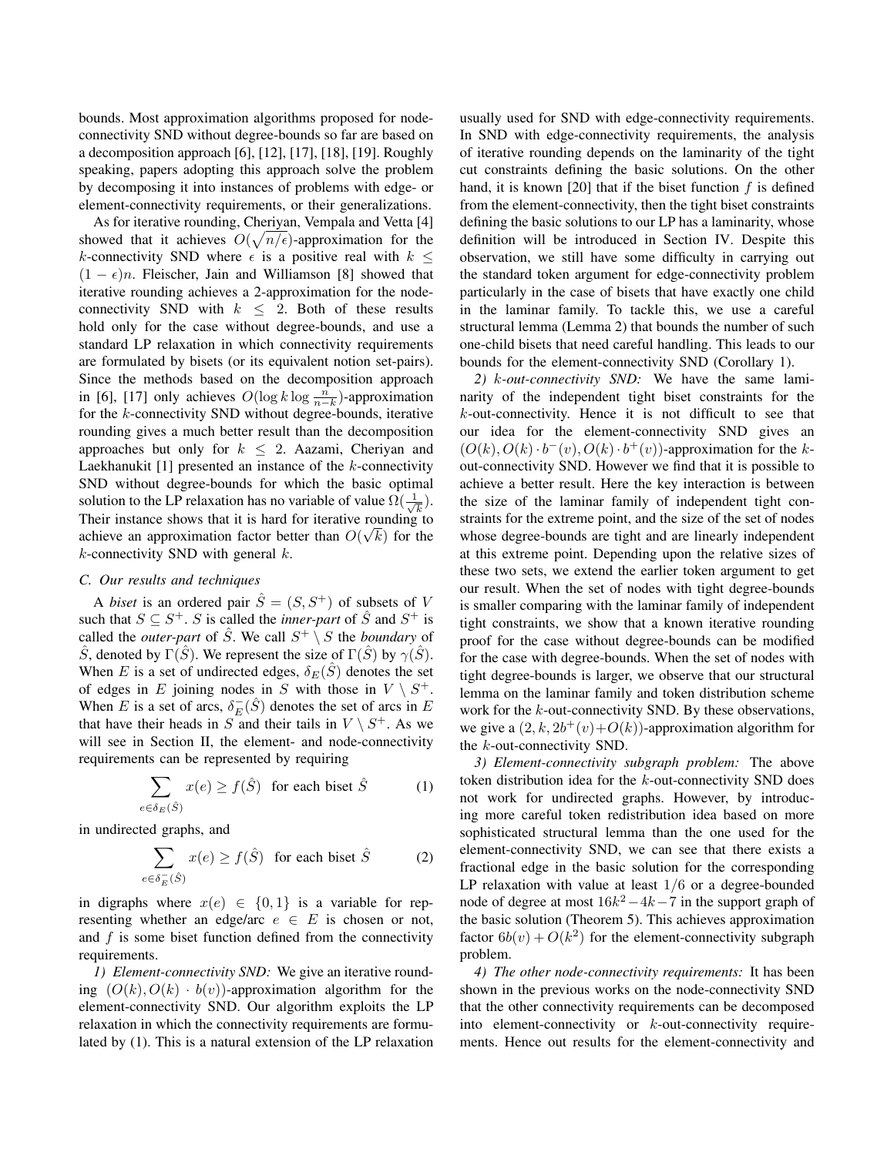bounds. Most approximation algorithms proposed for nodeconnectivity SND without degree-bounds so far are based on a decomposition approach [6], [12], [17], [18], [19]. Roughly speaking, papers adopting this approach solve the problem by decomposing it into instances of problems with edge- or element-connectivity requirements, or their generalizations.

As for iterative rounding, Cheriyan, Vempala and Vetta [4] showed that it achieves  $O(\sqrt{n/\epsilon})$ -approximation for the *k*-connectivity SND where  $\epsilon$  is a positive real with  $k \leq$  $(1 - \epsilon)n$ . Fleischer, Jain and Williamson [8] showed that iterative rounding achieves a 2-approximation for the nodeconnectivity SND with  $k \leq 2$ . Both of these results hold only for the case without degree-bounds, and use a standard LP relaxation in which connectivity requirements are formulated by bisets (or its equivalent notion set-pairs). Since the methods based on the decomposition approach in [6], [17] only achieves  $O(\log k \log \frac{n}{n-k})$ -approximation for the *k*-connectivity SND without degree-bounds, iterative rounding gives a much better result than the decomposition approaches but only for  $k \leq 2$ . Aazami, Cheriyan and Laekhanukit [1] presented an instance of the *k*-connectivity SND without degree-bounds for which the basic optimal solution to the LP relaxation has no variable of value  $\Omega(\frac{1}{\sqrt{2}})$ *k* ). Their instance shows that it is hard for iterative rounding to *√* achieve an approximation factor better than  $O(\sqrt{k})$  for the *k*-connectivity SND with general *k*.

# *C. Our results and techniques*

A *biset* is an ordered pair  $\hat{S} = (S, S^+)$  of subsets of *V* such that  $S \subseteq S^+$ . *S* is called the *inner-part* of  $\hat{S}$  and  $S^+$  is called the *outer-part* of  $\hat{S}$ . We call  $S^+ \setminus S$  the *boundary* of *S*, denoted by Γ(*S*<sup> $)$ </sup>). We represent the size of Γ(*S*<sup> $)$ </sup>) by  $γ(S)$ . When *E* is a set of undirected edges,  $\delta_E(\tilde{S})$  denotes the set of edges in *E* joining nodes in *S* with those in  $V \setminus S^+$ . When *E* is a set of arcs,  $\delta_E^-(\hat{S})$  denotes the set of arcs in *E* that have their heads in  $S$  and their tails in  $V \setminus S^+$ . As we will see in Section II, the element- and node-connectivity requirements can be represented by requiring

$$
\sum_{e \in \delta_E(\hat{S})} x(e) \ge f(\hat{S}) \quad \text{for each biset } \hat{S} \tag{1}
$$

in undirected graphs, and

$$
\sum_{e \in \delta_E^-(\hat{S})} x(e) \ge f(\hat{S}) \quad \text{for each biset } \hat{S} \tag{2}
$$

in digraphs where  $x(e) \in \{0,1\}$  is a variable for representing whether an edge/arc  $e \in E$  is chosen or not, and *f* is some biset function defined from the connectivity requirements.

*1) Element-connectivity SND:* We give an iterative rounding  $(O(k), O(k) \cdot b(v))$ -approximation algorithm for the element-connectivity SND. Our algorithm exploits the LP relaxation in which the connectivity requirements are formulated by (1). This is a natural extension of the LP relaxation usually used for SND with edge-connectivity requirements. In SND with edge-connectivity requirements, the analysis of iterative rounding depends on the laminarity of the tight cut constraints defining the basic solutions. On the other hand, it is known [20] that if the biset function *f* is defined from the element-connectivity, then the tight biset constraints defining the basic solutions to our LP has a laminarity, whose definition will be introduced in Section IV. Despite this observation, we still have some difficulty in carrying out the standard token argument for edge-connectivity problem particularly in the case of bisets that have exactly one child in the laminar family. To tackle this, we use a careful structural lemma (Lemma 2) that bounds the number of such one-child bisets that need careful handling. This leads to our bounds for the element-connectivity SND (Corollary 1).

*2) k-out-connectivity SND:* We have the same laminarity of the independent tight biset constraints for the *k*-out-connectivity. Hence it is not difficult to see that our idea for the element-connectivity SND gives an  $(O(k), O(k) \cdot b^-(v), O(k) \cdot b^+(v)$ )-approximation for the *k*out-connectivity SND. However we find that it is possible to achieve a better result. Here the key interaction is between the size of the laminar family of independent tight constraints for the extreme point, and the size of the set of nodes whose degree-bounds are tight and are linearly independent at this extreme point. Depending upon the relative sizes of these two sets, we extend the earlier token argument to get our result. When the set of nodes with tight degree-bounds is smaller comparing with the laminar family of independent tight constraints, we show that a known iterative rounding proof for the case without degree-bounds can be modified for the case with degree-bounds. When the set of nodes with tight degree-bounds is larger, we observe that our structural lemma on the laminar family and token distribution scheme work for the *k*-out-connectivity SND. By these observations, we give a  $(2, k, 2b^+(v) + O(k))$ -approximation algorithm for the *k*-out-connectivity SND.

*3) Element-connectivity subgraph problem:* The above token distribution idea for the *k*-out-connectivity SND does not work for undirected graphs. However, by introducing more careful token redistribution idea based on more sophisticated structural lemma than the one used for the element-connectivity SND, we can see that there exists a fractional edge in the basic solution for the corresponding LP relaxation with value at least 1*/*6 or a degree-bounded node of degree at most 16*k* <sup>2</sup>*−*4*k−*7 in the support graph of the basic solution (Theorem 5). This achieves approximation factor  $6b(v) + O(k^2)$  for the element-connectivity subgraph problem.

*4) The other node-connectivity requirements:* It has been shown in the previous works on the node-connectivity SND that the other connectivity requirements can be decomposed into element-connectivity or *k*-out-connectivity requirements. Hence out results for the element-connectivity and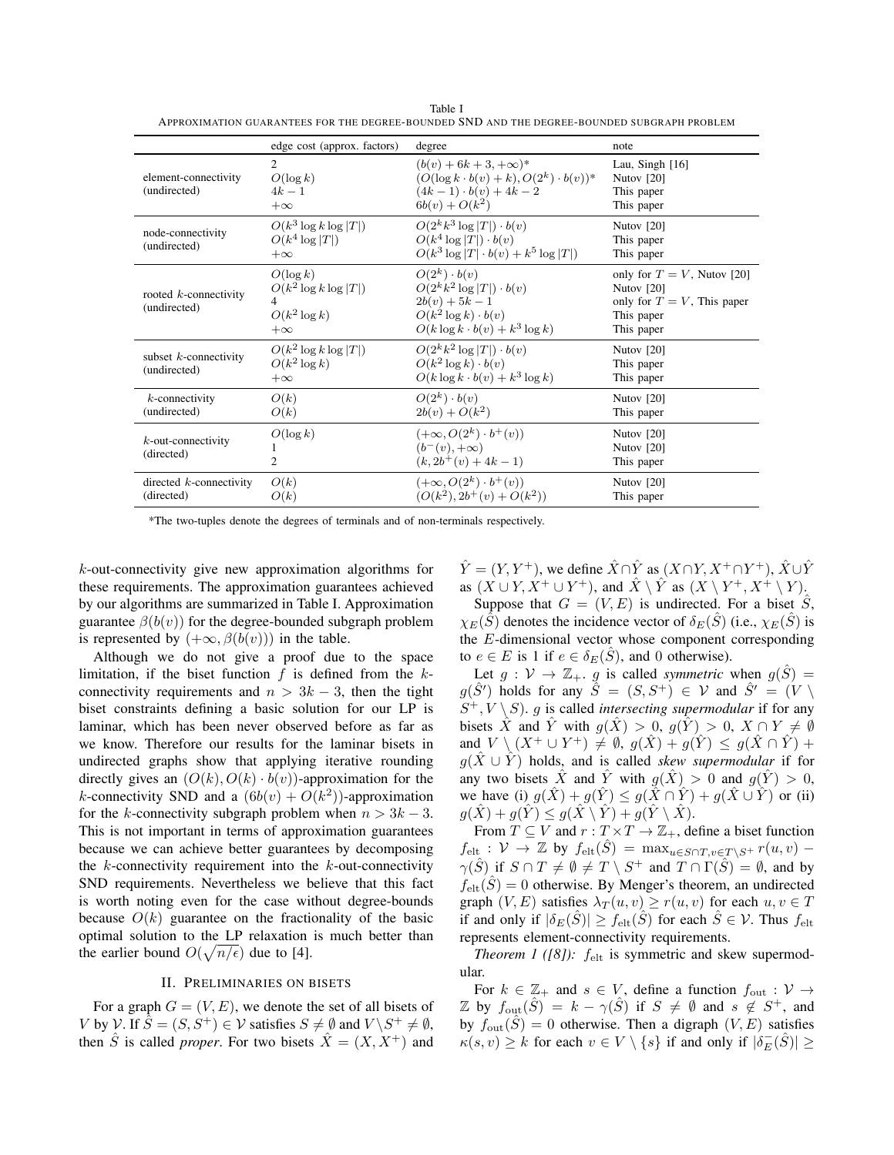|                                          | edge cost (approx. factors)                                             | degree                                                                                                                                             | note                                                                                                       |
|------------------------------------------|-------------------------------------------------------------------------|----------------------------------------------------------------------------------------------------------------------------------------------------|------------------------------------------------------------------------------------------------------------|
| element-connectivity<br>(undirected)     | $\mathfrak{D}$<br>$O(\log k)$<br>$4k-1$<br>$+\infty$                    | $(b(v) + 6k + 3, +\infty)^*$<br>$(O(\log k \cdot b(v) + k), O(2^k) \cdot b(v))^*$<br>$(4k-1)\cdot b(v) + 4k-2$<br>$6b(v) + O(k^2)$                 | Lau, Singh $[16]$<br>Nutov $[20]$<br>This paper<br>This paper                                              |
| node-connectivity<br>(undirected)        | $O(k^3 \log k \log  T )$<br>$O(k^4 \log  T )$<br>$+\infty$              | $O(2^k k^3 \log  T ) \cdot b(v)$<br>$O(k^4 \log  T ) \cdot b(v)$<br>$O(k^3 \log  T  \cdot b(v) + k^5 \log  T )$                                    | Nutov $[20]$<br>This paper<br>This paper                                                                   |
| rooted $k$ -connectivity<br>(undirected) | $O(\log k)$<br>$O(k^2 \log k \log  T )$<br>$O(k^2 \log k)$<br>$+\infty$ | $O(2^k) \cdot b(v)$<br>$O(2^k k^2 \log  T ) \cdot b(v)$<br>$2b(v) + 5k - 1$<br>$O(k^2 \log k) \cdot b(v)$<br>$O(k \log k \cdot b(v) + k^3 \log k)$ | only for $T = V$ , Nutov [20]<br>Nutov $[20]$<br>only for $T = V$ , This paper<br>This paper<br>This paper |
| subset $k$ -connectivity<br>(undirected) | $O(k^2 \log k \log  T )$<br>$O(k^2 \log k)$<br>$+\infty$                | $O(2^k k^2 \log  T ) \cdot b(v)$<br>$O(k^2 \log k) \cdot b(v)$<br>$O(k \log k \cdot b(v) + k^3 \log k)$                                            | Nutov $[20]$<br>This paper<br>This paper                                                                   |
| $k$ -connectivity<br>(undirected)        | O(k)<br>O(k)                                                            | $O(2^k) \cdot b(v)$<br>$2b(v) + O(k^2)$                                                                                                            | Nutov $[20]$<br>This paper                                                                                 |
| $k$ -out-connectivity<br>(directed)      | $O(\log k)$<br>2                                                        | $(+\infty, O(2^k) \cdot b^+(v))$<br>$(b^-(v), +\infty)$<br>$(k, 2b^+(v) + 4k - 1)$                                                                 | Nutov $[20]$<br>Nutov $[20]$<br>This paper                                                                 |
| directed $k$ -connectivity<br>(directed) | O(k)<br>O(k)                                                            | $(+\infty, O(2^k) \cdot b^+(v))$<br>$(O(k^2), 2b^+(v) + O(k^2))$                                                                                   | Nutov $[20]$<br>This paper                                                                                 |

Table I APPROXIMATION GUARANTEES FOR THE DEGREE-BOUNDED SND AND THE DEGREE-BOUNDED SUBGRAPH PROBLEM

\*The two-tuples denote the degrees of terminals and of non-terminals respectively.

*k*-out-connectivity give new approximation algorithms for these requirements. The approximation guarantees achieved by our algorithms are summarized in Table I. Approximation guarantee  $\beta(b(v))$  for the degree-bounded subgraph problem is represented by  $(+\infty, \beta(b(v)))$  in the table.

Although we do not give a proof due to the space limitation, if the biset function *f* is defined from the *k*connectivity requirements and  $n > 3k - 3$ , then the tight biset constraints defining a basic solution for our LP is laminar, which has been never observed before as far as we know. Therefore our results for the laminar bisets in undirected graphs show that applying iterative rounding directly gives an  $(O(k), O(k) \cdot b(v))$ -approximation for the *k*-connectivity SND and a  $(6b(v) + O(k^2))$ -approximation for the *k*-connectivity subgraph problem when  $n > 3k - 3$ . This is not important in terms of approximation guarantees because we can achieve better guarantees by decomposing the *k*-connectivity requirement into the *k*-out-connectivity SND requirements. Nevertheless we believe that this fact is worth noting even for the case without degree-bounds because  $O(k)$  guarantee on the fractionality of the basic optimal solution to the LP relaxation is much better than the earlier bound  $O(\sqrt{n/\epsilon})$  due to [4].

#### II. PRELIMINARIES ON BISETS

For a graph  $G = (V, E)$ , we denote the set of all bisets of *V* by *V*. If  $\hat{S} = (S, \hat{S}^+) \in \mathcal{V}$  satisfies  $S \neq \emptyset$  and  $V \backslash S^+ \neq \emptyset$ , then  $\hat{S}$  is called *proper*. For two bisets  $\hat{X} = (X, X^+)$  and *Y*̂ =  $(Y, Y^+)$ , we define  $\hat{X} \cap \hat{Y}$  as  $(X \cap Y, X^+ \cap Y^+)$ ,  $\hat{X} \cup \hat{Y}$ as  $(X \cup Y, X^+ \cup Y^+)$ , and  $\hat{X} \setminus \hat{Y}$  as  $(X \setminus Y^+, X^+ \setminus Y)$ .

Suppose that  $G = (V, E)$  is undirected. For a biset  $S$ , *χE*(*S*<sup>č</sup>) denotes the incidence vector of *δ*<sub>*E*</sub>(*S*<sup>č</sup>) (i.e., *χE*(*S*<sup>c</sup>) is the *E*-dimensional vector whose component corresponding to  $e \in E$  is 1 if  $e \in \delta_E(S)$ , and 0 otherwise).

Let  $g : V \to \mathbb{Z}_+$ . *g* is called *symmetric* when  $g(\hat{S}) =$  $g(\hat{S}')$  holds for any  $\hat{S} = (S, S^+) \in \mathcal{V}$  and  $\hat{S}' = (V \setminus \mathcal{V})$  $S^+$ ,  $V \setminus S$ ). *g* is called *intersecting supermodular* if for any bisets  $\hat{X}$  and  $\hat{Y}$  with  $g(\hat{X}) > 0$ ,  $g(\hat{Y}) > 0$ ,  $X \cap Y \neq \emptyset$ and  $V \setminus (X^+ \cup Y^+) \neq \emptyset$ ,  $g(\hat{X}) + g(\hat{Y}) \leq g(\hat{X} \cap \hat{Y}) + g(\hat{Y})$  $g(\hat{X} \cup \hat{Y})$  holds, and is called *skew supermodular* if for any two bisets  $\hat{X}$  and  $\hat{Y}$  with  $g(\hat{X}) > 0$  and  $g(\hat{Y}) > 0$ , we have (i)  $g(\hat{X}) + g(\hat{Y}) \leq g(\hat{X} \cap \hat{Y}) + g(\hat{X} \cup \hat{Y})$  or (ii)  $g(\hat{X}) + g(\hat{Y}) \leq g(\hat{X} \setminus \hat{Y}) + g(\hat{Y} \setminus \hat{X}).$ 

From  $T \subseteq V$  and  $r : T \times T \to \mathbb{Z}_+$ , define a biset function  $f_{\text{elt}}$  :  $V \rightarrow \mathbb{Z}$  by  $f_{\text{elt}}(\hat{S}) = \max_{u \in S \cap T, v \in T \setminus S^+} r(u, v)$  *− γ*(*S*̂) if  $S \cap T \neq \emptyset \neq T \setminus S^+$  and  $T \cap \Gamma(\hat{S}) = \emptyset$ , and by  $f_{\text{elt}}(\hat{S}) = 0$  otherwise. By Menger's theorem, an undirected graph  $(V, E)$  satisfies  $\lambda_T(u, v) \geq r(u, v)$  for each  $u, v \in T$ if and only if  $|\delta_E(\hat{S})| \ge f_{\text{elt}}(\hat{S})$  for each  $\hat{S} \in \mathcal{V}$ . Thus  $f_{\text{elt}}$ represents element-connectivity requirements.

*Theorem 1 ([8]):*  $f_{\text{elt}}$  is symmetric and skew supermodular.

For  $k \in \mathbb{Z}_+$  and  $s \in V$ , define a function  $f_{\text{out}} : V \to$  $\mathbb{Z}$  by  $f_{\text{out}}(\hat{S}) = k - \gamma(\hat{S})$  if  $S \neq \emptyset$  and  $s \notin S^+$ , and by  $f_{\text{out}}(\hat{S}) = 0$  otherwise. Then a digraph  $(V, E)$  satisfies  $\kappa(s, v) \geq k$  for each  $v \in V \setminus \{s\}$  if and only if  $|\delta_E^-(\hat{S})| \geq$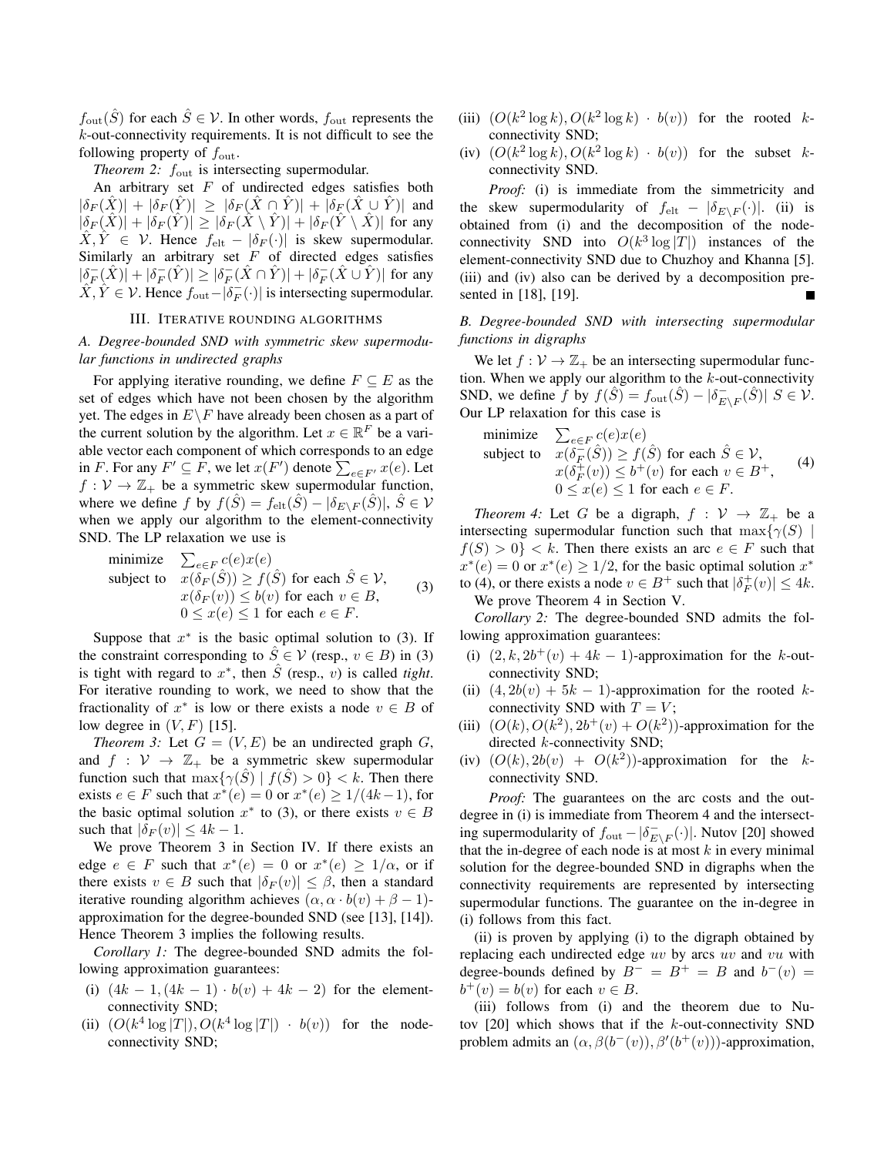$f_{\text{out}}(\hat{S})$  for each  $\hat{S} \in \mathcal{V}$ . In other words,  $f_{\text{out}}$  represents the *k*-out-connectivity requirements. It is not difficult to see the following property of *f*out.

*Theorem 2:*  $f_{\text{out}}$  is intersecting supermodular.

An arbitrary set *F* of undirected edges satisfies both  $|\delta_F(X)| + |\delta_F(Y)| \geq |\delta_F(X \cap Y)| + |\delta_F(X \cup Y)|$  and  $|\delta_F(\hat{X})| + |\delta_F(\hat{Y})| \ge |\delta_F(\hat{X} \setminus \hat{Y})| + |\delta_F(\hat{Y} \setminus \hat{X})|$  for any  $\hat{X}, \hat{Y} \in \mathcal{V}$ . Hence  $f_{\text{elt}} - |\delta_F(\cdot)|$  is skew supermodular. Similarly an arbitrary set *F* of directed edges satisfies  $|\delta_F^-(\hat{X})| + |\delta_F^-(\hat{Y})| \ge |\delta_F^-(\hat{X} \cap \hat{Y})| + |\delta_F^-(\hat{X} \cup \hat{Y})|$  for any *X*,  $\hat{Y}$  ∈  $\hat{V}$ . Hence  $f_{\text{out}} - |\delta_F^-(·)|$  is intersecting supermodular.

# III. ITERATIVE ROUNDING ALGORITHMS

# *A. Degree-bounded SND with symmetric skew supermodular functions in undirected graphs*

For applying iterative rounding, we define  $F \subseteq E$  as the set of edges which have not been chosen by the algorithm yet. The edges in  $E\backslash F$  have already been chosen as a part of the current solution by the algorithm. Let  $x \in \mathbb{R}^F$  be a variable vector each component of which corresponds to an edge in *F*. For any  $F' \subseteq F$ , we let  $x(F')$  denote  $\sum_{e \in F'} x(e)$ . Let  $f: V \to \mathbb{Z}_+$  be a symmetric skew supermodular function, where we define *f* by  $f(\hat{S}) = f_{\text{elt}}(\hat{S}) - |\delta_{E \setminus F}(\hat{S})|, \ \hat{S} \in \mathcal{V}$ when we apply our algorithm to the element-connectivity SND. The LP relaxation we use is

minimize 
$$
\sum_{e \in F} c(e)x(e)
$$
  
subject to 
$$
x(\delta_F(\hat{S})) \ge f(\hat{S}) \text{ for each } \hat{S} \in \mathcal{V},
$$

$$
x(\delta_F(v)) \le b(v) \text{ for each } v \in B,
$$

$$
0 \le x(e) \le 1 \text{ for each } e \in F.
$$
 (3)

Suppose that  $x^*$  is the basic optimal solution to (3). If the constraint corresponding to  $\hat{S} \in \mathcal{V}$  (resp.,  $v \in B$ ) in (3) is tight with regard to  $x^*$ , then  $\hat{S}$  (resp., *v*) is called *tight*. For iterative rounding to work, we need to show that the fractionality of  $x^*$  is low or there exists a node  $v \in B$  of low degree in (*V, F*) [15].

*Theorem 3:* Let  $G = (V, E)$  be an undirected graph  $G$ , and  $f : V \to \mathbb{Z}_+$  be a symmetric skew supermodular function such that  $\max\{\gamma(\hat{S}) \mid f(\hat{S}) > 0\} < k$ . Then there exists  $e \in F$  such that  $x^*(e) = 0$  or  $x^*(e) \ge 1/(4k-1)$ , for the basic optimal solution  $x^*$  to (3), or there exists  $v \in B$ such that  $|\delta_F(v)| \leq 4k - 1$ .

We prove Theorem 3 in Section IV. If there exists an edge  $e \in F$  such that  $x^*(e) = 0$  or  $x^*(e) \ge 1/\alpha$ , or if there exists  $v \in B$  such that  $|\delta_F(v)| \leq \beta$ , then a standard iterative rounding algorithm achieves  $(\alpha, \alpha \cdot b(v) + \beta - 1)$ approximation for the degree-bounded SND (see [13], [14]). Hence Theorem 3 implies the following results.

*Corollary 1:* The degree-bounded SND admits the following approximation guarantees:

- (i)  $(4k 1, (4k 1) \cdot b(v) + 4k 2)$  for the elementconnectivity SND;
- (ii)  $(O(k^4 \log |T|), O(k^4 \log |T|) \cdot b(v))$  for the nodeconnectivity SND;
- (iii)  $(O(k^2 \log k), O(k^2 \log k) \cdot b(v))$  for the rooted *k*connectivity SND;
- (iv)  $(O(k^2 \log k), O(k^2 \log k) \cdot b(v))$  for the subset *k*connectivity SND.

*Proof:* (i) is immediate from the simmetricity and the skew supermodularity of  $f_{\text{elt}} - |\delta_{E\setminus F}(\cdot)|$ . (ii) is obtained from (i) and the decomposition of the nodeconnectivity SND into  $O(k^3 \log |T|)$  instances of the element-connectivity SND due to Chuzhoy and Khanna [5]. (iii) and (iv) also can be derived by a decomposition presented in [18], [19].

# *B. Degree-bounded SND with intersecting supermodular functions in digraphs*

We let  $f: V \to \mathbb{Z}_+$  be an intersecting supermodular function. When we apply our algorithm to the *k*-out-connectivity SND, we define  $\hat{f}$  by  $\hat{f}(\hat{S}) = f_{\text{out}}(\hat{S}) - |\delta_{E \setminus F}(\hat{S})|$   $S \in \mathcal{V}$ . Our LP relaxation for this case is

minimize 
$$
\sum_{e \in F} c(e)x(e)
$$
  
subject to 
$$
x(\delta_F^-(\hat{S})) \ge f(\hat{S}) \text{ for each } \hat{S} \in \mathcal{V},
$$

$$
x(\delta_F^+(v)) \le b^+(v) \text{ for each } v \in B^+,
$$

$$
0 \le x(e) \le 1 \text{ for each } e \in F.
$$
 (4)

*Theorem 4:* Let *G* be a digraph,  $f : V \rightarrow \mathbb{Z}_+$  be a intersecting supermodular function such that  $\max\{\gamma(S)$  $f(S) > 0$ }  $\lt k$ . Then there exists an arc  $e \in F$  such that  $x^*(e) = 0$  or  $x^*(e) \ge 1/2$ , for the basic optimal solution  $x^*$ to (4), or there exists a node  $v \in B^+$  such that  $|\delta_F^+(v)| \leq 4k$ . We prove Theorem 4 in Section V.

*Corollary 2:* The degree-bounded SND admits the following approximation guarantees:

- (i)  $(2, k, 2b^+(v) + 4k 1)$ -approximation for the *k*-outconnectivity SND;
- (ii)  $(4, 2b(v) + 5k 1)$ -approximation for the rooted *k*connectivity SND with  $T = V$ ;
- (iii)  $(O(k), O(k^2), 2b^+(v) + O(k^2))$ -approximation for the directed *k*-connectivity SND;
- (iv)  $(O(k), 2b(v) + O(k^2))$ -approximation for the *k*connectivity SND.

*Proof:* The guarantees on the arc costs and the outdegree in (i) is immediate from Theorem 4 and the intersect- $\lim_{k \to \infty} \frac{1}{k}$  supermodularity of  $f_{\text{out}} - |\delta_{E \setminus F}^{-}(·)|$ . Nutov [20] showed that the in-degree of each node is at most *k* in every minimal solution for the degree-bounded SND in digraphs when the connectivity requirements are represented by intersecting supermodular functions. The guarantee on the in-degree in (i) follows from this fact.

(ii) is proven by applying (i) to the digraph obtained by replacing each undirected edge *uv* by arcs *uv* and *vu* with degree-bounds defined by  $B^- = B^+ = B$  and  $b^-(v) =$  $b^+(v) = b(v)$  for each  $v \in B$ .

(iii) follows from (i) and the theorem due to Nutov [20] which shows that if the *k*-out-connectivity SND problem admits an  $(\alpha, \beta(b^-(v)), \beta'(b^+(v)))$ -approximation,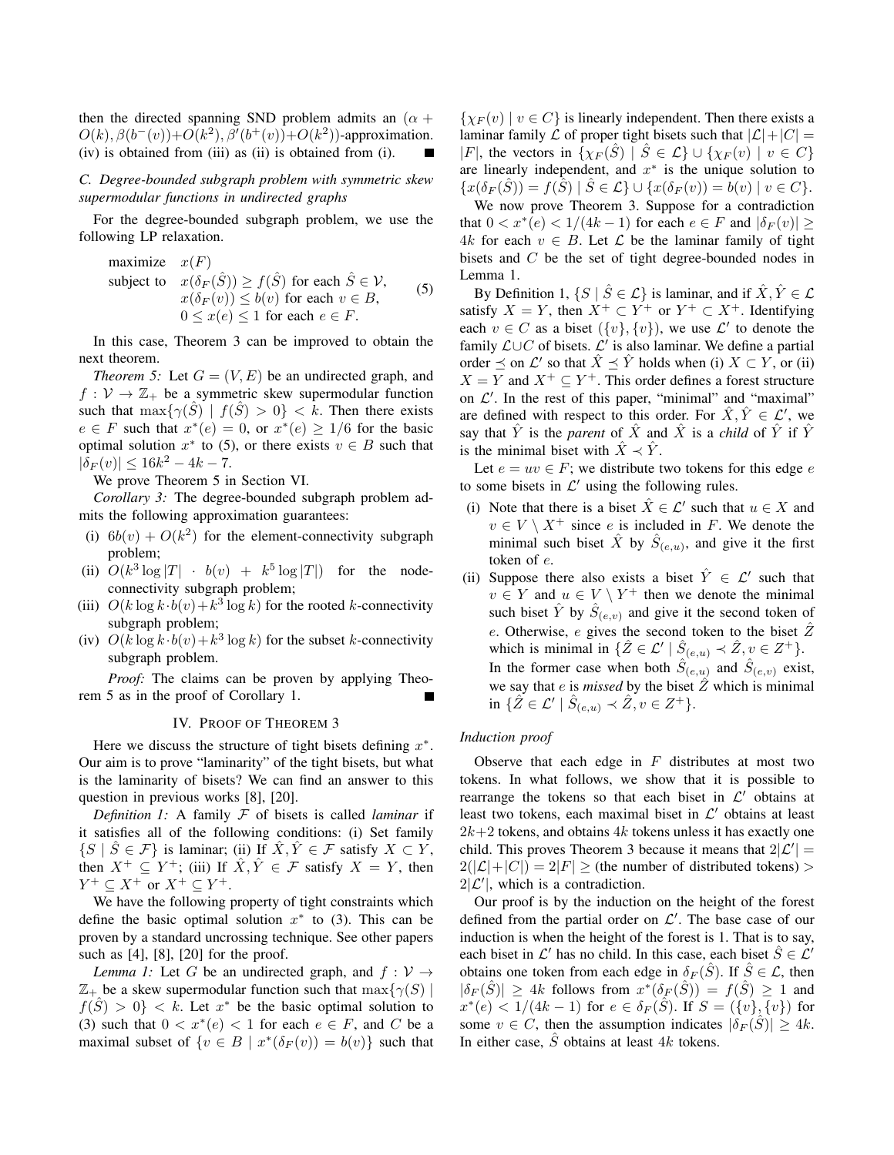then the directed spanning SND problem admits an  $(\alpha +$  $O(k)$ ,  $\beta(b^-(v)) + O(k^2)$ ,  $\beta'(b^+(v)) + O(k^2)$ )-approximation. (iv) is obtained from (iii) as (ii) is obtained from (i).

*C. Degree-bounded subgraph problem with symmetric skew supermodular functions in undirected graphs*

For the degree-bounded subgraph problem, we use the following LP relaxation.

maximize 
$$
x(F)
$$
  
\nsubject to  $x(\delta_F(\hat{S})) \ge f(\hat{S})$  for each  $\hat{S} \in \mathcal{V}$ ,  
\n $x(\delta_F(v)) \le b(v)$  for each  $v \in B$ ,  
\n $0 \le x(e) \le 1$  for each  $e \in F$ . (5)

In this case, Theorem 3 can be improved to obtain the next theorem.

*Theorem 5:* Let  $G = (V, E)$  be an undirected graph, and  $f: V \to \mathbb{Z}_+$  be a symmetric skew supermodular function such that  $\max\{\gamma(\tilde{S}) \mid f(\tilde{S}) > 0\} < k$ . Then there exists  $e \in F$  such that  $x^*(e) = 0$ , or  $x^*(e) \ge 1/6$  for the basic optimal solution  $x^*$  to (5), or there exists  $v \in B$  such that  $|\delta_F(v)| \leq 16k^2 - 4k - 7.$ 

We prove Theorem 5 in Section VI.

*Corollary 3:* The degree-bounded subgraph problem admits the following approximation guarantees:

- (i)  $6b(v) + O(k^2)$  for the element-connectivity subgraph problem;
- (ii)  $O(k^3 \log |T| + b(v) + k^5 \log |T|)$  for the nodeconnectivity subgraph problem;
- (iii)  $O(k \log k \cdot b(v) + k^3 \log k)$  for the rooted *k*-connectivity subgraph problem;
- (iv)  $O(k \log k \cdot b(v) + k^3 \log k)$  for the subset *k*-connectivity subgraph problem.

*Proof:* The claims can be proven by applying Theorem 5 as in the proof of Corollary 1.

# IV. PROOF OF THEOREM 3

Here we discuss the structure of tight bisets defining *x ∗* . Our aim is to prove "laminarity" of the tight bisets, but what is the laminarity of bisets? We can find an answer to this question in previous works [8], [20].

*Definition 1:* A family *F* of bisets is called *laminar* if it satisfies all of the following conditions: (i) Set family  ${S \mid S \in \mathcal{F}}$  is laminar; (ii) If  $\hat{X}, \hat{Y} \in \mathcal{F}$  satisfy  $X \subset Y$ , then  $X^+ \subseteq Y^+$ ; (iii) If  $\hat{X}, \hat{Y} \in \mathcal{F}$  satisfy  $X = Y$ , then  $Y^+ \subseteq X^+$  or  $X^+ \subseteq Y^+$ .

We have the following property of tight constraints which define the basic optimal solution  $x^*$  to (3). This can be proven by a standard uncrossing technique. See other papers such as [4], [8], [20] for the proof.

*Lemma 1:* Let *G* be an undirected graph, and  $f: V \rightarrow$  $\mathbb{Z}_+$  be a skew supermodular function such that  $\max\{\gamma(S) \mid$  $f(\hat{S}) > 0$ } < k. Let  $x^*$  be the basic optimal solution to (3) such that  $0 < x^*(e) < 1$  for each  $e \in F$ , and C be a maximal subset of  $\{v \in B \mid x^*(\delta_F(v)) = b(v)\}$  such that

 $\{ \chi_F(v) \mid v \in C \}$  is linearly independent. Then there exists a laminar family  $\mathcal L$  of proper tight bisets such that  $|\mathcal L| + |C| =$  $|F|$ , the vectors in  $\{\chi_F(\hat{S}) \mid \hat{S} \in \mathcal{L}\} \cup \{\chi_F(v) \mid v \in C\}$ are linearly independent, and *x ∗* is the unique solution to  $\{x(\delta_F(S)) = f(S) \mid S \in \mathcal{L}\} \cup \{x(\delta_F(v)) = b(v) \mid v \in C\}.$ 

We now prove Theorem 3. Suppose for a contradiction that  $0 < x^*(e) < 1/(4k-1)$  for each  $e \in F$  and  $|\delta_F(v)| \ge$ 4*k* for each *v* ∈ *B*. Let  $\mathcal{L}$  be the laminar family of tight bisets and *C* be the set of tight degree-bounded nodes in Lemma 1.

By Definition 1,  $\{S \mid \hat{S} \in \mathcal{L}\}\$ is laminar, and if  $\hat{X}, \hat{Y} \in \mathcal{L}$ satisfy  $X = Y$ , then  $X^+ \subset Y^+$  or  $Y^+ \subset X^+$ . Identifying each  $v \in C$  as a biset  $({v}, {v})$ , we use  $\mathcal{L}'$  to denote the family *L∪C* of bisets. *L ′* is also laminar. We define a partial order  $\leq$  on  $\mathcal{L}'$  so that  $\hat{X} \leq \hat{Y}$  holds when (i)  $X \subset Y$ , or (ii)  $X = Y$  and  $X^+ \subseteq Y^+$ . This order defines a forest structure on  $\mathcal{L}'$ . In the rest of this paper, "minimal" and "maximal" are defined with respect to this order. For  $\hat{X}, \hat{Y} \in \mathcal{L}'$ , we say that  $\hat{Y}$  is the *parent* of  $\hat{X}$  and  $\hat{X}$  is a *child* of  $\hat{Y}$  if  $\hat{Y}$ is the minimal biset with  $\hat{X} \prec \hat{Y}$ .

Let  $e = uv \in F$ ; we distribute two tokens for this edge  $e$ to some bisets in  $\mathcal{L}'$  using the following rules.

- (i) Note that there is a biset  $\hat{X} \in \mathcal{L}'$  such that  $u \in X$  and  $v \in V \setminus X^+$  since *e* is included in *F*. We denote the minimal such biset  $\hat{X}$  by  $\hat{S}_{(e,u)}$ , and give it the first token of *e*.
- (ii) Suppose there also exists a biset  $\hat{Y} \in \mathcal{L}'$  such that  $v \in Y$  and  $u \in V \setminus Y^+$  then we denote the minimal such biset  $\hat{Y}$  by  $\hat{S}_{(e,v)}$  and give it the second token of *e*. Otherwise, *e* gives the second token to the biset  $\hat{Z}$ which is minimal in  $\{\hat{Z} \in \mathcal{L}' \mid \hat{S}_{(e,u)} \prec \hat{Z}, v \in Z^+\}.$ In the former case when both  $\hat{S}_{(e,u)}$  and  $\hat{S}_{(e,v)}$  exist, we say that  $e$  is *missed* by the biset  $\hat{Z}$  which is minimal  $\inf \{ \hat{Z} \in \mathcal{L}' \mid \hat{S}_{(e,u)} \prec \hat{Z}, v \in Z^+ \}.$

# *Induction proof*

Observe that each edge in *F* distributes at most two tokens. In what follows, we show that it is possible to rearrange the tokens so that each biset in *L ′* obtains at least two tokens, each maximal biset in *L ′* obtains at least  $2k+2$  tokens, and obtains  $4k$  tokens unless it has exactly one child. This proves Theorem 3 because it means that  $2|\mathcal{L}'| =$  $2(|\mathcal{L}|+|C|) = 2|F| \geq$  (the number of distributed tokens) >  $2|\mathcal{L}'|$ , which is a contradiction.

Our proof is by the induction on the height of the forest defined from the partial order on *L ′* . The base case of our induction is when the height of the forest is 1. That is to say, each biset in  $\mathcal{L}'$  has no child. In this case, each biset  $\hat{S} \in \mathcal{L}'$ obtains one token from each edge in  $\delta_F(\hat{S})$ . If  $\hat{S} \in \mathcal{L}$ , then  $|\delta_F(\hat{S})| \geq 4k$  follows from  $x^*(\delta_F(\hat{S})) = f(\hat{S}) \geq 1$  and  $x^*(e) < 1/(4k-1)$  for  $e \in \delta_F(\hat{S})$ . If  $S = (\{v\}, \{v\})$  for some  $v \in C$ , then the assumption indicates  $|\delta_F(\hat{S})| \geq 4k$ . In either case, *S*ˆ obtains at least 4*k* tokens.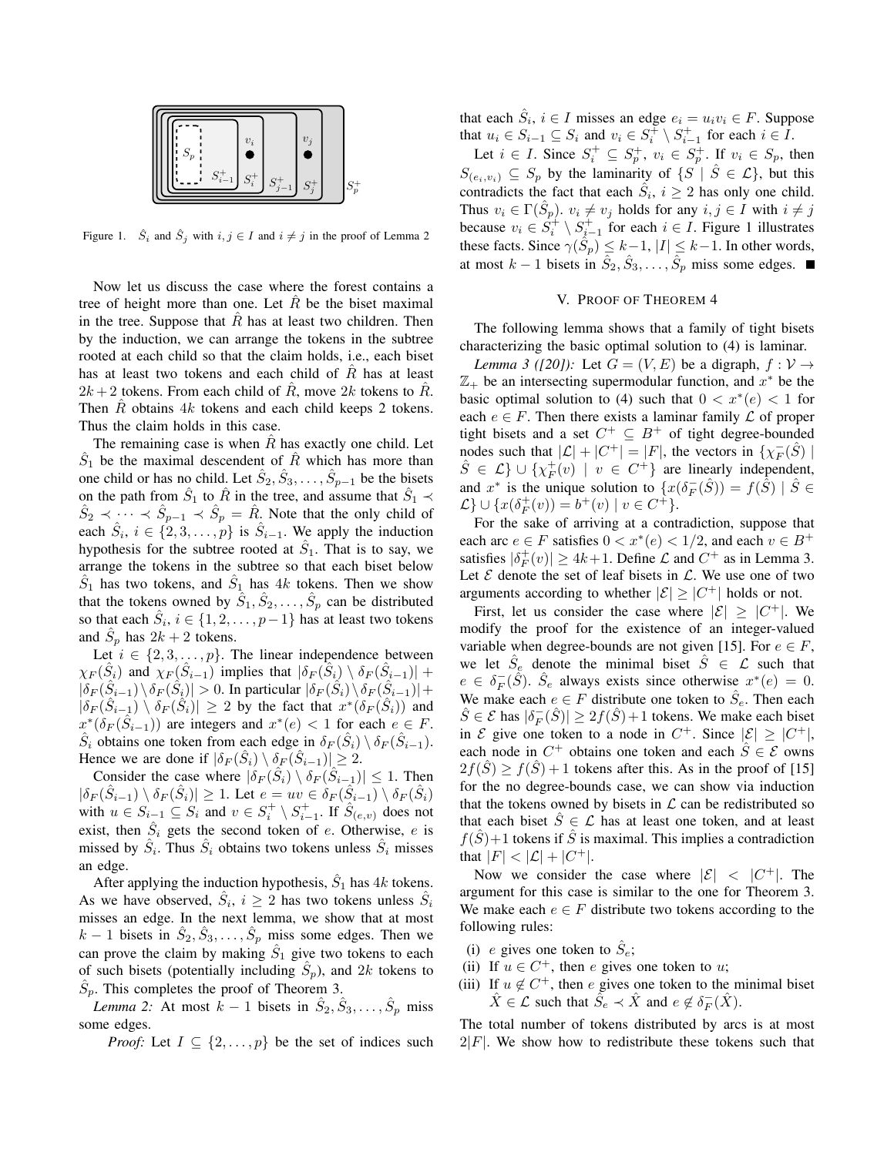

Figure 1.  $\hat{S}_i$  and  $\hat{S}_j$  with  $i, j \in I$  and  $i \neq j$  in the proof of Lemma 2

Now let us discuss the case where the forest contains a tree of height more than one. Let  $\hat{R}$  be the biset maximal in the tree. Suppose that  $\hat{R}$  has at least two children. Then by the induction, we can arrange the tokens in the subtree rooted at each child so that the claim holds, i.e., each biset has at least two tokens and each child of *R*ˆ has at least  $2k + 2$  tokens. From each child of  $\hat{R}$ , move  $2k$  tokens to  $\hat{R}$ . Then *R* obtains 4*k* tokens and each child keeps 2 tokens. Thus the claim holds in this case.

The remaining case is when  $R$  has exactly one child. Let  $\hat{S}_1$  be the maximal descendent of  $\hat{R}$  which has more than one child or has no child. Let  $\hat{S}_2, \hat{S}_3, \dots, \hat{S}_{p-1}$  be the bisets on the path from  $\hat{S}_1$  to  $\hat{R}$  in the tree, and assume that  $\hat{S}_1 \prec$  $\hat{S}_2 \prec \cdots \prec \hat{S}_{p-1} \prec \hat{S}_p = \hat{R}$ . Note that the only child of each  $\hat{S}_i$ ,  $i \in \{2, 3, \ldots, p\}$  is  $\hat{S}_{i-1}$ . We apply the induction hypothesis for the subtree rooted at  $\hat{S}_1$ . That is to say, we arrange the tokens in the subtree so that each biset below  $\hat{S}_1$  has two tokens, and  $\hat{S}_1$  has 4*k* tokens. Then we show that the tokens owned by  $\tilde{S}_1, \tilde{S}_2, \ldots, \tilde{S}_p$  can be distributed so that each  $\hat{S}_i$ ,  $i \in \{1, 2, \ldots, p-1\}$  has at least two tokens and  $\hat{S}_p$  has  $2k+2$  tokens.

Let  $i \in \{2, 3, \ldots, p\}$ . The linear independence between  $\chi_F(\hat{S}_i)$  and  $\chi_F(\hat{S}_{i-1})$  implies that  $|\delta_F(\hat{S}_i) \setminus \delta_F(\hat{S}_{i-1})|$  +  $|\delta_F(\hat{S}_{i-1}) \backslash \delta_F(\hat{S}_{i})| > 0$ . In particular  $|\delta_F(\hat{S}_{i}) \backslash \delta_F(\hat{S}_{i-1})| +$  $|\delta_F(\hat{S}_{i-1}) \setminus \delta_F(\hat{S}_i)| \geq 2$  by the fact that  $x^*(\delta_F(\hat{S}_i))$  and  $x^*(\delta_F(\hat{S}_{i-1}))$  are integers and  $x^*(e) < 1$  for each  $e \in F$ .  $\hat{S}_i$  obtains one token from each edge in  $\delta_F(\hat{S}_i) \setminus \delta_F(\hat{S}_{i-1})$ . Hence we are done if  $|\delta_F(\hat{S}_i) \setminus \delta_F(\hat{S}_{i-1})| \geq 2$ .

Consider the case where  $|\delta_F(\hat{S}_i) \setminus \delta_F(\hat{S}_{i-1})| \leq 1$ . Then  $|\delta_F(\hat{S}_{i-1}) \setminus \delta_F(\hat{S}_i)| \ge 1$ . Let  $e = uv \in \delta_F(\hat{S}_{i-1}) \setminus \delta_F(\hat{S}_i)$ with  $u \in S_{i-1} \subseteq S_i$  and  $v \in S_i^+ \setminus S_{i-1}^+$ . If  $\hat{S}_{(e,v)}$  does not exist, then  $\hat{S}_i$  gets the second token of *e*. Otherwise, *e* is missed by  $\hat{S}_i$ . Thus  $\hat{S}_i$  obtains two tokens unless  $\hat{S}_i$  misses an edge.

After applying the induction hypothesis,  $\hat{S}_1$  has  $4k$  tokens. As we have observed,  $\hat{S}_i$ ,  $i \ge 2$  has two tokens unless  $\hat{S}_i$ misses an edge. In the next lemma, we show that at most  $k-1$  bisets in  $\hat{S}_2, \hat{S}_3, \ldots, \hat{S}_p$  miss some edges. Then we can prove the claim by making  $\hat{S}_1$  give two tokens to each of such bisets (potentially including  $\hat{S}_p$ ), and 2*k* tokens to  $\hat{S}_p$ . This completes the proof of Theorem 3.

*Lemma 2:* At most  $k - 1$  bisets in  $\hat{S}_2, \hat{S}_3, \dots, \hat{S}_p$  miss some edges.

*Proof:* Let  $I \subseteq \{2, \ldots, p\}$  be the set of indices such

that each  $\hat{S}_i$ ,  $i \in I$  misses an edge  $e_i = u_i v_i \in F$ . Suppose that  $u_i \in S_{i-1} \subseteq S_i$  and  $v_i \in S_i^{\dagger} \setminus S_{i-1}^+$  for each  $i \in I$ .

Let  $i \in I$ . Since  $S_i^+ \subseteq S_p^+$ ,  $v_i \in S_p^+$ . If  $v_i \in S_p$ , then  $S_{(e_i, v_i)} \subseteq S_p$  by the laminarity of  $\{S \mid S \in \mathcal{L}\}\$ , but this contradicts the fact that each  $\hat{S}_i$ ,  $i \geq 2$  has only one child. Thus  $v_i \in \Gamma(\hat{S}_p)$ .  $v_i \neq v_j$  holds for any  $i, j \in I$  with  $i \neq j$ because  $v_i \in S_i^+ \setminus S_{i-1}^+$  for each  $i \in I$ . Figure 1 illustrates these facts. Since  $\gamma(\hat{S}_p) \leq k-1$ ,  $|I| \leq k-1$ . In other words, at most  $k - 1$  bisets in  $\hat{S}_2, \hat{S}_3, \ldots, \hat{S}_p$  miss some edges.

### V. PROOF OF THEOREM 4

The following lemma shows that a family of tight bisets characterizing the basic optimal solution to (4) is laminar.

*Lemma 3 ([20]):* Let  $G = (V, E)$  be a digraph,  $f: V \rightarrow$ Z<sup>+</sup> be an intersecting supermodular function, and *x <sup>∗</sup>* be the basic optimal solution to (4) such that  $0 < x^*(e) < 1$  for each  $e \in F$ . Then there exists a laminar family  $\mathcal L$  of proper tight bisets and a set  $C^+ \subseteq B^+$  of tight degree-bounded nodes such that  $|C| + |C^+| = |F|$ , the vectors in  $\{\chi_F^-(\hat{S})\}$  $\hat{S} \in \mathcal{L}$   $\} \cup \{ \chi_F^+(v) \mid v \in C^+ \}$  are linearly independent, and  $x^*$  is the unique solution to  $\{x(\delta_F^-(\hat{S})) = f(\tilde{S}) \mid \hat{S} \in$  $\mathcal{L} \} \cup \{ x(\delta_F^+(v)) = b^+(v) \mid v \in C^+ \}.$ 

For the sake of arriving at a contradiction, suppose that each arc  $e \in F$  satisfies  $0 < x^*(e) < 1/2$ , and each  $v \in B^+$ satisfies  $|\delta_F^+(v)| \ge 4k+1$ . Define  $\mathcal L$  and  $C^+$  as in Lemma 3. Let  $E$  denote the set of leaf bisets in  $L$ . We use one of two arguments according to whether  $|\mathcal{E}| \geq |C^+|$  holds or not.

First, let us consider the case where  $|\mathcal{E}| \geq |C^+|$ . We modify the proof for the existence of an integer-valued variable when degree-bounds are not given [15]. For  $e \in F$ , we let  $\hat{S}_e$  denote the minimal biset  $\hat{S} \in \mathcal{L}$  such that  $e \in \delta_F^-(\hat{S})$ .  $\hat{S}_e$  always exists since otherwise  $x^*(e) = 0$ . We make each  $e \in F$  distribute one token to  $\hat{S}_e$ . Then each  $\hat{S} \in \mathcal{E}$  has  $|\delta_F^-(\hat{S})| \geq 2f(\hat{S})+1$  tokens. We make each biset in *E* give one token to a node in  $C^+$ . Since  $|\mathcal{E}| \geq |C^+|$ , each node in  $C^+$  obtains one token and each  $\hat{S} \in \mathcal{E}$  owns  $2f(\hat{S}) \ge f(\hat{S}) + 1$  tokens after this. As in the proof of [15] for the no degree-bounds case, we can show via induction that the tokens owned by bisets in  $\mathcal L$  can be redistributed so that each biset  $\hat{S} \in \mathcal{L}$  has at least one token, and at least  $f(\hat{S})+1$  tokens if  $\hat{S}$  is maximal. This implies a contradiction that  $|F| < |\mathcal{L}| + |C^+|$ .

Now we consider the case where  $|\mathcal{E}| \leq |C^+|$ . The argument for this case is similar to the one for Theorem 3. We make each  $e \in F$  distribute two tokens according to the following rules:

- (i) *e* gives one token to  $\hat{S}_e$ ;
- (ii) If  $u \in C^+$ , then *e* gives one token to *u*;
- (iii) If  $u \notin C^+$ , then *e* gives one token to the minimal biset  $\hat{X} \in \mathcal{L}$  such that  $\tilde{S}_e \prec \hat{X}$  and  $e \notin \delta_F^-(\hat{X})$ .

The total number of tokens distributed by arcs is at most  $2|F|$ . We show how to redistribute these tokens such that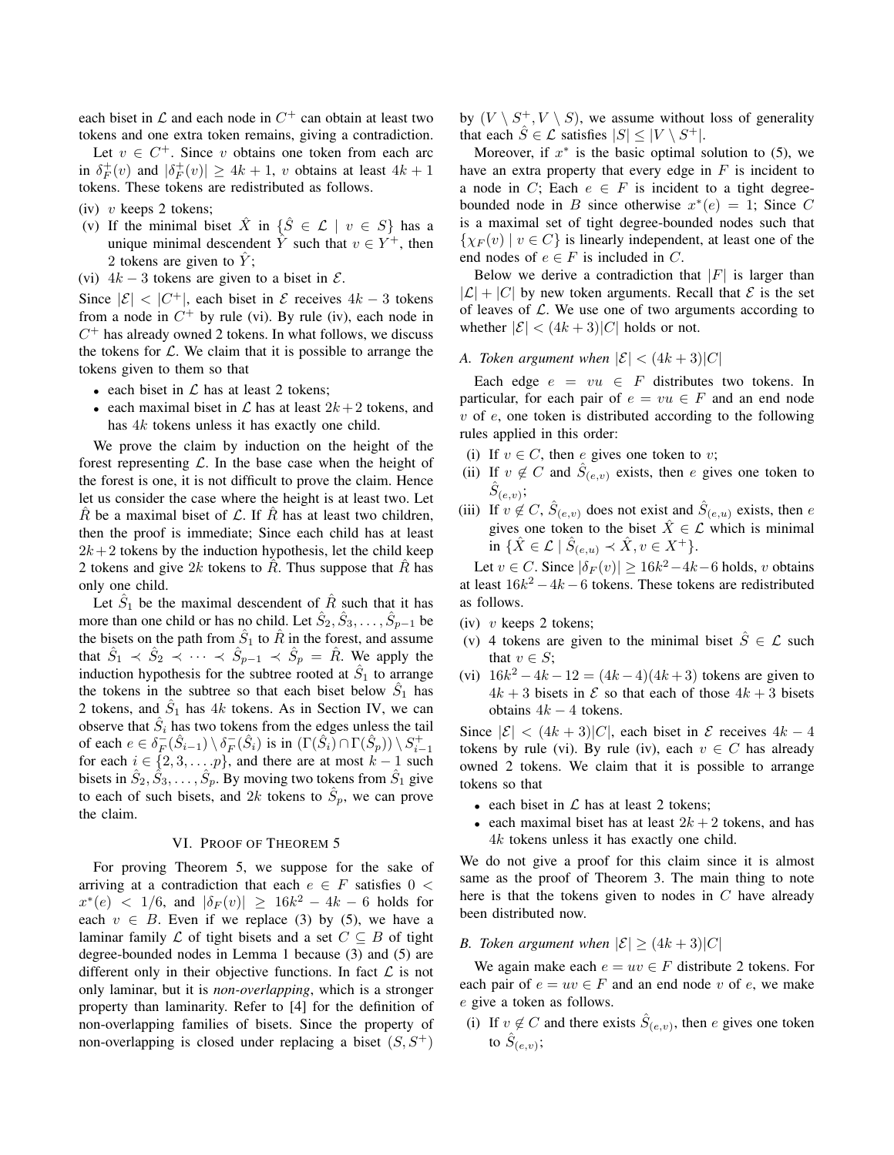each biset in  $\mathcal L$  and each node in  $C^+$  can obtain at least two tokens and one extra token remains, giving a contradiction.

Let  $v \in C^+$ . Since *v* obtains one token from each arc in  $\delta_F^+(v)$  and  $|\delta_F^+(v)| \ge 4k+1$ , *v* obtains at least  $4k+1$ tokens. These tokens are redistributed as follows.

- (iv) *v* keeps 2 tokens;
- (v) If the minimal biset  $\hat{X}$  in  $\{\hat{S} \in \mathcal{L} \mid v \in S\}$  has a unique minimal descendent  $\hat{Y}$  such that  $v \in Y^+$ , then 2 tokens are given to *Y*ˆ ;
- (vi)  $4k 3$  tokens are given to a biset in  $\mathcal{E}$ .

Since  $|\mathcal{E}| < |C^+|$ , each biset in  $\mathcal{E}$  receives  $4k - 3$  tokens from a node in  $C^+$  by rule (vi). By rule (iv), each node in  $C<sup>+</sup>$  has already owned 2 tokens. In what follows, we discuss the tokens for *L*. We claim that it is possible to arrange the tokens given to them so that

- *•* each biset in *L* has at least 2 tokens;
- each maximal biset in  $\mathcal L$  has at least  $2k+2$  tokens, and has 4*k* tokens unless it has exactly one child.

We prove the claim by induction on the height of the forest representing *L*. In the base case when the height of the forest is one, it is not difficult to prove the claim. Hence let us consider the case where the height is at least two. Let *R* be a maximal biset of  $\mathcal{L}$ . If *R* has at least two children, then the proof is immediate; Since each child has at least  $2k+2$  tokens by the induction hypothesis, let the child keep 2 tokens and give  $2k$  tokens to  $\hat{R}$ . Thus suppose that  $\hat{R}$  has only one child.

Let  $\hat{S}_1$  be the maximal descendent of  $\hat{R}$  such that it has more than one child or has no child. Let  $\hat{S}_2, \hat{S}_3, \ldots, \hat{S}_{p-1}$  be the bisets on the path from  $\hat{S}_1$  to  $\hat{R}$  in the forest, and assume that  $\hat{S}_1 \prec \hat{S}_2 \prec \cdots \prec \hat{S}_{p-1} \prec \hat{S}_p = \hat{R}$ . We apply the induction hypothesis for the subtree rooted at  $\hat{S}_1$  to arrange the tokens in the subtree so that each biset below  $\hat{S}_1$  has 2 tokens, and  $\hat{S}_1$  has  $4k$  tokens. As in Section IV, we can observe that  $\hat{S}_i$  has two tokens from the edges unless the tail of each  $e \in \delta_F^-(\hat{S}_{i-1}) \setminus \delta_F^-(\hat{S}_i)$  is in  $(\Gamma(\hat{S}_i) \cap \Gamma(\hat{S}_p)) \setminus S_{i-1}^+$ for each  $i \in \{2, 3, \dots, p\}$ , and there are at most  $k - 1$  such bisets in  $\hat{S}_2, \hat{S}_3, \ldots, \hat{S}_p$ . By moving two tokens from  $\hat{S}_1$  give to each of such bisets, and 2k tokens to  $\hat{S}_p$ , we can prove the claim.

# VI. PROOF OF THEOREM 5

For proving Theorem 5, we suppose for the sake of arriving at a contradiction that each  $e \in F$  satisfies  $0 <$  $x^*(e)$  < 1/6, and  $|\delta_F(v)| \ge 16k^2 - 4k - 6$  holds for each  $v \in B$ . Even if we replace (3) by (5), we have a laminar family  $\mathcal L$  of tight bisets and a set  $C \subseteq B$  of tight degree-bounded nodes in Lemma 1 because (3) and (5) are different only in their objective functions. In fact *L* is not only laminar, but it is *non-overlapping*, which is a stronger property than laminarity. Refer to [4] for the definition of non-overlapping families of bisets. Since the property of non-overlapping is closed under replacing a biset  $(S, S^+)$  by  $(V \setminus S^+, V \setminus S)$ , we assume without loss of generality that each  $\hat{S} \in \mathcal{L}$  satisfies  $|S| \leq |V \setminus S^+|$ .

Moreover, if  $x^*$  is the basic optimal solution to  $(5)$ , we have an extra property that every edge in *F* is incident to a node in *C*; Each  $e \in F$  is incident to a tight degreebounded node in *B* since otherwise  $x^*(e) = 1$ ; Since *C* is a maximal set of tight degree-bounded nodes such that  $\{ \chi_F(v) \mid v \in C \}$  is linearly independent, at least one of the end nodes of  $e \in F$  is included in *C*.

Below we derive a contradiction that  $|F|$  is larger than  $|\mathcal{L}| + |C|$  by new token arguments. Recall that  $\mathcal E$  is the set of leaves of *L*. We use one of two arguments according to whether  $|\mathcal{E}| < (4k+3)|C|$  holds or not.

# *A. Token argument when*  $|\mathcal{E}| < (4k+3)|C|$

Each edge  $e = vu \in F$  distributes two tokens. In particular, for each pair of  $e = vu \in F$  and an end node *v* of *e*, one token is distributed according to the following rules applied in this order:

- (i) If  $v \in C$ , then *e* gives one token to *v*;
- (ii) If  $v \notin C$  and  $\hat{S}_{(e,v)}$  exists, then *e* gives one token to  $\hat{S}_{(e,v)}$ ;
- (iii) If  $v \notin C$ ,  $\hat{S}_{(e,v)}$  does not exist and  $\hat{S}_{(e,u)}$  exists, then *e* gives one token to the biset  $\hat{X} \in \mathcal{L}$  which is minimal  $\text{in } \{ \hat{X} \in \mathcal{L} \mid \hat{S}_{(e,u)} \prec \hat{X}, v \in X^+ \}.$

 $\text{Let } v \in C$ . Since  $|\delta_F(v)| \ge 16k^2 - 4k - 6$  holds, *v* obtains at least 16*k* <sup>2</sup> *−*4*k −*6 tokens. These tokens are redistributed as follows.

- (iv) *v* keeps 2 tokens;
- (v) 4 tokens are given to the minimal biset  $\hat{S} \in \mathcal{L}$  such that  $v \in S$ ;
- (vi)  $16k^2 4k 12 = (4k 4)(4k + 3)$  tokens are given to  $4k+3$  bisets in  $\mathcal E$  so that each of those  $4k+3$  bisets obtains 4*k −* 4 tokens.

Since  $|\mathcal{E}|$  <  $(4k+3)|C|$ , each biset in  $\mathcal{E}$  receives  $4k-4$ tokens by rule (vi). By rule (iv), each  $v \in C$  has already owned 2 tokens. We claim that it is possible to arrange tokens so that

- *•* each biset in *L* has at least 2 tokens;
- each maximal biset has at least  $2k + 2$  tokens, and has 4*k* tokens unless it has exactly one child.

We do not give a proof for this claim since it is almost same as the proof of Theorem 3. The main thing to note here is that the tokens given to nodes in *C* have already been distributed now.

# *B. Token argument when*  $|\mathcal{E}| \geq (4k+3)|C|$

We again make each  $e = uv \in F$  distribute 2 tokens. For each pair of  $e = uv \in F$  and an end node *v* of *e*, we make *e* give a token as follows.

(i) If  $v \notin C$  and there exists  $\hat{S}_{(e,v)}$ , then *e* gives one token to  $\hat{S}_{(e,v)}$ ;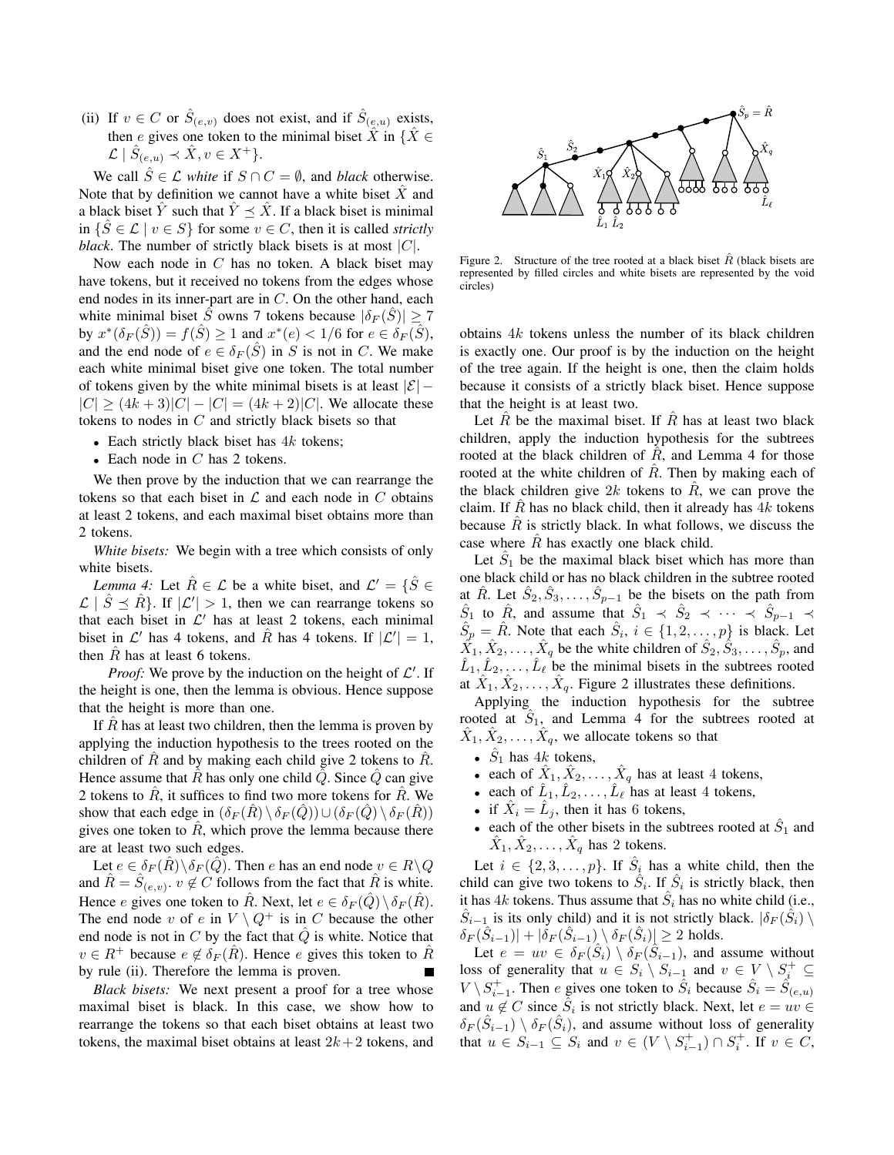(ii) If  $v \in C$  or  $\hat{S}_{(e,v)}$  does not exist, and if  $\hat{S}_{(e,u)}$  exists, then *e* gives one token to the minimal biset  $\hat{X}$  in  $\{\hat{X} \in \mathbb{R}\}$  $\mathcal{L}$  |  $\hat{S}_{(e,u)} \prec \hat{X}, v \in X^+\}.$ 

We call  $\hat{S} \in \mathcal{L}$  *white* if  $S \cap C = \emptyset$ , and *black* otherwise. Note that by definition we cannot have a white biset  $\hat{X}$  and a black biset *Y* such that  $Y \preceq X$ . If a black biset is minimal in *{S*ˆ *∈ L | v ∈ S}* for some *v ∈ C*, then it is called *strictly black*. The number of strictly black bisets is at most *|C|*.

Now each node in *C* has no token. A black biset may have tokens, but it received no tokens from the edges whose end nodes in its inner-part are in *C*. On the other hand, each white minimal biset *S*<sup></sup> owns 7 tokens because  $|\delta_F(S)| \ge 7$  $\mathbf{b}$   $\mathbf{y}$   $x^*(\delta_F(\hat{S})) = f(\hat{S}) \geq 1$  and  $x^*(e) < 1/6$  for  $e \in \delta_F(\hat{S})$ , and the end node of  $e \in \delta_F(\hat{S})$  in *S* is not in *C*. We make each white minimal biset give one token. The total number of tokens given by the white minimal bisets is at least *|E| −*  $|C|$  >  $(4k+3)|C| - |C| = (4k+2)|C|$ . We allocate these tokens to nodes in *C* and strictly black bisets so that

- *•* Each strictly black biset has 4*k* tokens;
- *•* Each node in *C* has 2 tokens.

We then prove by the induction that we can rearrange the tokens so that each biset in  $\mathcal L$  and each node in  $C$  obtains at least 2 tokens, and each maximal biset obtains more than 2 tokens.

*White bisets:* We begin with a tree which consists of only white bisets.

*Lemma 4:* Let  $\hat{R} \in \mathcal{L}$  be a white biset, and  $\mathcal{L}' = \{\hat{S} \in \mathcal{L} \mid S \in \mathcal{L}\}$  $\mathcal{L}$  |  $\hat{S} \preceq \hat{R}$ }. If  $|\mathcal{L}'| > 1$ , then we can rearrange tokens so that each biset in *L ′* has at least 2 tokens, each minimal biset in  $\mathcal{L}'$  has 4 tokens, and  $\hat{R}$  has 4 tokens. If  $|\mathcal{L}'| = 1$ , then  $R$  has at least 6 tokens.

*Proof:* We prove by the induction on the height of *L ′* . If the height is one, then the lemma is obvious. Hence suppose that the height is more than one.

If  $\overline{R}$  has at least two children, then the lemma is proven by applying the induction hypothesis to the trees rooted on the children of  $\hat{R}$  and by making each child give 2 tokens to  $\hat{R}$ . Hence assume that  $\hat{R}$  has only one child  $\hat{Q}$ . Since  $\hat{Q}$  can give 2 tokens to  $R$ , it suffices to find two more tokens for  $R$ . We show that each edge in  $(\delta_F(R) \setminus \delta_F(Q)) \cup (\delta_F(Q) \setminus \delta_F(R))$ gives one token to  $R$ , which prove the lemma because there are at least two such edges.

Let  $e \in \delta_F(R) \backslash \delta_F(Q)$ . Then *e* has an end node  $v \in R \backslash Q$ and  $\hat{R} = \hat{S}_{(e,v)}$ ,  $v \notin \hat{C}$  follows from the fact that  $\hat{R}$  is white. Hence *e* gives one token to *R*. Next, let  $e \in \delta_F(Q) \setminus \delta_F(R)$ . The end node *v* of *e* in  $V \setminus Q^+$  is in *C* because the other end node is not in  $C$  by the fact that  $\hat{Q}$  is white. Notice that *v* ∈  $R$ <sup>+</sup> because  $e \notin \delta_F(R)$ . Hence *e* gives this token to  $\hat{R}$ by rule (ii). Therefore the lemma is proven.

*Black bisets:* We next present a proof for a tree whose maximal biset is black. In this case, we show how to rearrange the tokens so that each biset obtains at least two tokens, the maximal biset obtains at least  $2k + 2$  tokens, and



Figure 2. Structure of the tree rooted at a black biset  $\hat{R}$  (black bisets are represented by filled circles and white bisets are represented by the void circles)

obtains 4*k* tokens unless the number of its black children is exactly one. Our proof is by the induction on the height of the tree again. If the height is one, then the claim holds because it consists of a strictly black biset. Hence suppose that the height is at least two.

Let  $\hat{R}$  be the maximal biset. If  $\hat{R}$  has at least two black children, apply the induction hypothesis for the subtrees rooted at the black children of  $\hat{R}$ , and Lemma 4 for those rooted at the white children of *R*. Then by making each of the black children give  $2k$  tokens to  $\hat{R}$ , we can prove the claim. If  $\hat{R}$  has no black child, then it already has  $4k$  tokens because  $\hat{R}$  is strictly black. In what follows, we discuss the case where *R* has exactly one black child.

Let  $\hat{S}_1$  be the maximal black biset which has more than one black child or has no black children in the subtree rooted at  $\hat{R}$ . Let  $\hat{S}_2, \hat{S}_3, \dots, \hat{S}_{p-1}$  be the bisets on the path from  $\hat{S}_1$  to  $\hat{R}$ , and assume that  $\hat{S}_1 \prec \hat{S}_2 \prec \cdots \prec \hat{S}_{p-1} \prec$  $\hat{S}_p = \hat{R}$ . Note that each  $\hat{S}_i$ ,  $i \in \{1, 2, \dots, p\}$  is black. Let  $\hat{X}_1, \hat{X}_2, \dots, \hat{X}_q$  be the white children of  $\hat{S}_2, \hat{S}_3, \dots, \hat{S}_p$ , and  $\hat{L}_1, \hat{L}_2, \ldots, \hat{L}_\ell$  be the minimal bisets in the subtrees rooted at  $\hat{X}_1, \hat{X}_2, \ldots, \hat{X}_q$ . Figure 2 illustrates these definitions.

Applying the induction hypothesis for the subtree rooted at  $S_1$ , and Lemma 4 for the subtrees rooted at  $\hat{X}_1, \hat{X}_2, \ldots, \hat{X}_q$ , we allocate tokens so that

- $\hat{S}_1$  has  $4k$  tokens,
- each of  $\hat{X}_1, \hat{X}_2, \dots, \hat{X}_q$  has at least 4 tokens,
- each of  $\hat{L}_1, \hat{L}_2, \dots, \hat{L}_\ell$  has at least 4 tokens,
- if  $\hat{X}_i = \hat{L}_j$ , then it has 6 tokens,
- each of the other bisets in the subtrees rooted at  $\hat{S}_1$  and  $\hat{X}_1, \hat{X}_2, \ldots, \hat{X}_q$  has 2 tokens.

Let  $i \in \{2, 3, \ldots, p\}$ . If  $\hat{S}_i$  has a white child, then the child can give two tokens to  $\hat{S}_i$ . If  $\hat{S}_i$  is strictly black, then it has  $4k$  tokens. Thus assume that  $\hat{S}_i$  has no white child (i.e.,  $\hat{S}_{i-1}$  is its only child) and it is not strictly black.  $|\delta_F(\hat{S}_i) \setminus \delta_F(\hat{S}_i)|$  $\delta_F(\hat{S}_{i-1})$ *|* +  $|\delta_F(\hat{S}_{i-1})| \setminus \delta_F(\hat{S}_i)| \geq 2$  holds.

Let  $e = uv \in \delta_F(\hat{S}_i) \setminus \delta_F(\hat{S}_{i-1})$ , and assume without loss of generality that  $u \in S_i \setminus S_{i-1}$  and  $v \in V \setminus S_i^+ \subseteq$ *V*  $\setminus S_{i-1}^+$ . Then *e* gives one token to  $\hat{S}_i$  because  $\hat{S}_i = \hat{S}_{(e,u)}$ and  $u \notin C$  since  $\hat{S}_i$  is not strictly black. Next, let  $e = uv \in$  $\delta_F(\hat{S}_{i-1}) \setminus \delta_F(\hat{S}_i)$ , and assume without loss of generality that  $u \in S_{i-1} \subseteq S_i$  and  $v \in (V \setminus S_{i-1}^+) \cap S_i^+$ . If  $v \in C$ ,